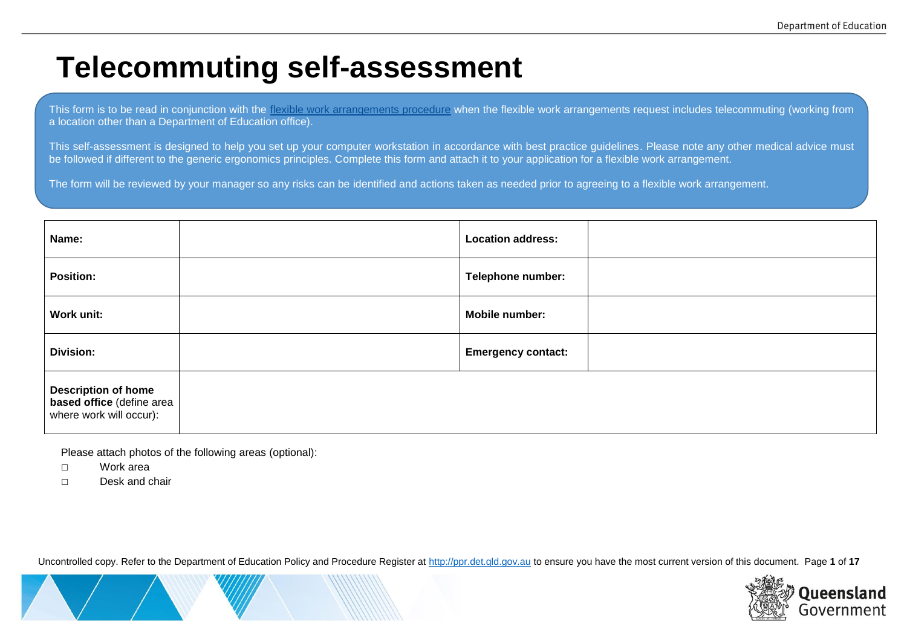# **Telecommuting self-assessment**

This form is to be read in conjunction with the [flexible work arrangements procedure](http://ppr.det.qld.gov.au/corp/hr/hr/Pages/Flexible-work-arrangements.aspx) when the flexible work arrangements request includes telecommuting (working from a location other than a Department of Education office).

This self-assessment is designed to help you set up your computer workstation in accordance with best practice guidelines. Please note any other medical advice must be followed if different to the generic ergonomics principles. Complete this form and attach it to your application for a flexible work arrangement.

The form will be reviewed by your manager so any risks can be identified and actions taken as needed prior to agreeing to a flexible work arrangement.

| Name:                                                                              | <b>Location address:</b>  |  |
|------------------------------------------------------------------------------------|---------------------------|--|
| <b>Position:</b>                                                                   | Telephone number:         |  |
| Work unit:                                                                         | Mobile number:            |  |
| <b>Division:</b>                                                                   | <b>Emergency contact:</b> |  |
| <b>Description of home</b><br>based office (define area<br>where work will occur): |                           |  |

Please attach photos of the following areas (optional):

□ Work area

□ Desk and chair

Uncontrolled copy. Refer to the Department of Education Policy and Procedure Register at [http://ppr.det.qld.gov.au](http://ppr.det.qld.gov.au/) to ensure you have the most current version of this document. Page **1** of **17**

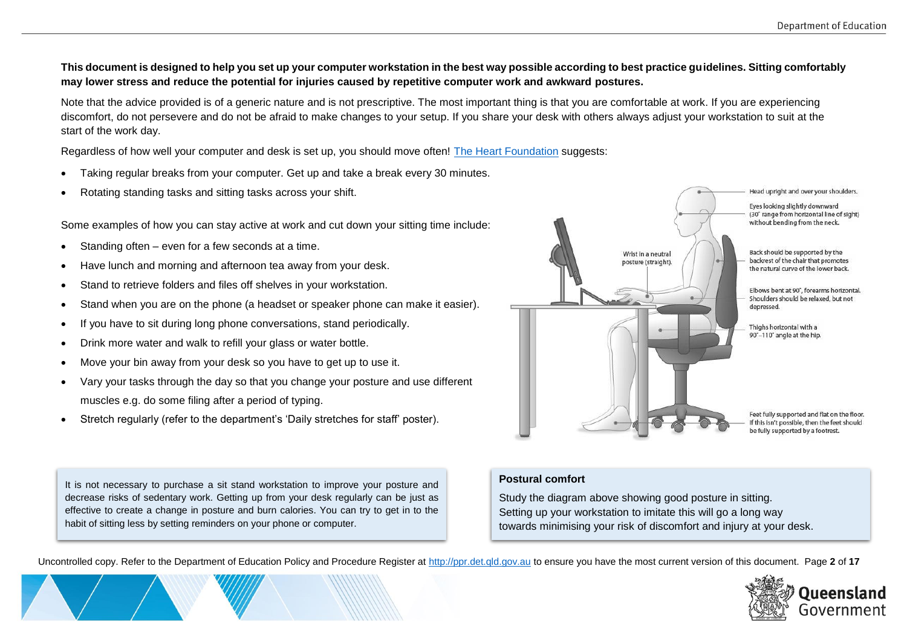### **This document is designed to help you set up your computer workstation in the best way possible according to best practice guidelines. Sitting comfortably may lower stress and reduce the potential for injuries caused by repetitive computer work and awkward postures.**

Note that the advice provided is of a generic nature and is not prescriptive. The most important thing is that you are comfortable at work. If you are experiencing discomfort, do not persevere and do not be afraid to make changes to your setup. If you share your desk with others always adjust your workstation to suit at the start of the work day.

Regardless of how well your computer and desk is set up, you should move often! The [Heart Foundation](https://www.heartfoundation.org.au/active-living/active-workplaces) suggests:

- Taking regular breaks from your computer. Get up and take a break every 30 minutes.
- Rotating standing tasks and sitting tasks across your shift.

Some examples of how you can stay active at work and cut down your sitting time include:

- Standing often even for a few seconds at a time.
- Have lunch and morning and afternoon tea away from your desk.
- Stand to retrieve folders and files off shelves in your workstation.
- Stand when you are on the phone (a headset or speaker phone can make it easier).
- If you have to sit during long phone conversations, stand periodically.
- Drink more water and walk to refill your glass or water bottle.
- Move your bin away from your desk so you have to get up to use it.
- Vary your tasks through the day so that you change your posture and use different muscles e.g. do some filing after a period of typing.
- Stretch regularly (refer to the department's 'Daily stretches for staff' poster).

It is not necessary to purchase a sit stand workstation to improve your posture and decrease risks of sedentary work. Getting up from your desk regularly can be just as effective to create a change in posture and burn calories. You can try to get in to the habit of sitting less by setting reminders on your phone or computer.

## **Postural comfort**

Study the diagram above showing good posture in sitting. Setting up your workstation to imitate this will go a long way towards minimising your risk of discomfort and injury at your desk.

Uncontrolled copy. Refer to the Department of Education Policy and Procedure Register at [http://ppr.det.qld.gov.au](http://ppr.det.qld.gov.au/) to ensure you have the most current version of this document. Page **2** of **17**



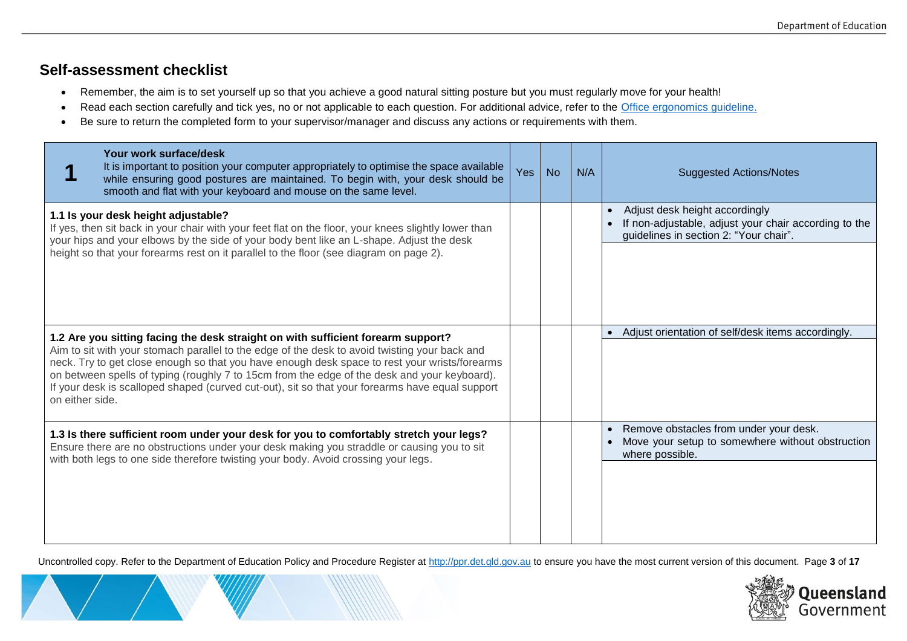# **Self-assessment checklist**

- Remember, the aim is to set yourself up so that you achieve a good natural sitting posture but you must regularly move for your health!
- Read each section carefully and tick yes, no or not applicable to each question. For additional advice, refer to the [Office ergonomics guideline.](https://education.qld.gov.au/initiativesstrategies/Documents/ergonomics-guide-staff.pdf#search=ergonomics)
- Be sure to return the completed form to your supervisor/manager and discuss any actions or requirements with them.

| Your work surface/desk<br>It is important to position your computer appropriately to optimise the space available<br>while ensuring good postures are maintained. To begin with, your desk should be<br>smooth and flat with your keyboard and mouse on the same level.                                                                                                                                                                                                                                  | Yes | <b>No</b> | N/A | <b>Suggested Actions/Notes</b>                                                                                                    |
|----------------------------------------------------------------------------------------------------------------------------------------------------------------------------------------------------------------------------------------------------------------------------------------------------------------------------------------------------------------------------------------------------------------------------------------------------------------------------------------------------------|-----|-----------|-----|-----------------------------------------------------------------------------------------------------------------------------------|
| 1.1 Is your desk height adjustable?<br>If yes, then sit back in your chair with your feet flat on the floor, your knees slightly lower than<br>your hips and your elbows by the side of your body bent like an L-shape. Adjust the desk<br>height so that your forearms rest on it parallel to the floor (see diagram on page 2).                                                                                                                                                                        |     |           |     | Adjust desk height accordingly<br>If non-adjustable, adjust your chair according to the<br>guidelines in section 2: "Your chair". |
| 1.2 Are you sitting facing the desk straight on with sufficient forearm support?<br>Aim to sit with your stomach parallel to the edge of the desk to avoid twisting your back and<br>neck. Try to get close enough so that you have enough desk space to rest your wrists/forearms<br>on between spells of typing (roughly 7 to 15cm from the edge of the desk and your keyboard).<br>If your desk is scalloped shaped (curved cut-out), sit so that your forearms have equal support<br>on either side. |     |           |     | Adjust orientation of self/desk items accordingly.                                                                                |
| 1.3 Is there sufficient room under your desk for you to comfortably stretch your legs?<br>Ensure there are no obstructions under your desk making you straddle or causing you to sit<br>with both legs to one side therefore twisting your body. Avoid crossing your legs.                                                                                                                                                                                                                               |     |           |     | Remove obstacles from under your desk.<br>Move your setup to somewhere without obstruction<br>where possible.                     |

Uncontrolled copy. Refer to the Department of Education Policy and Procedure Register at [http://ppr.det.qld.gov.au](http://ppr.det.qld.gov.au/) to ensure you have the most current version of this document. Page **3** of **17**

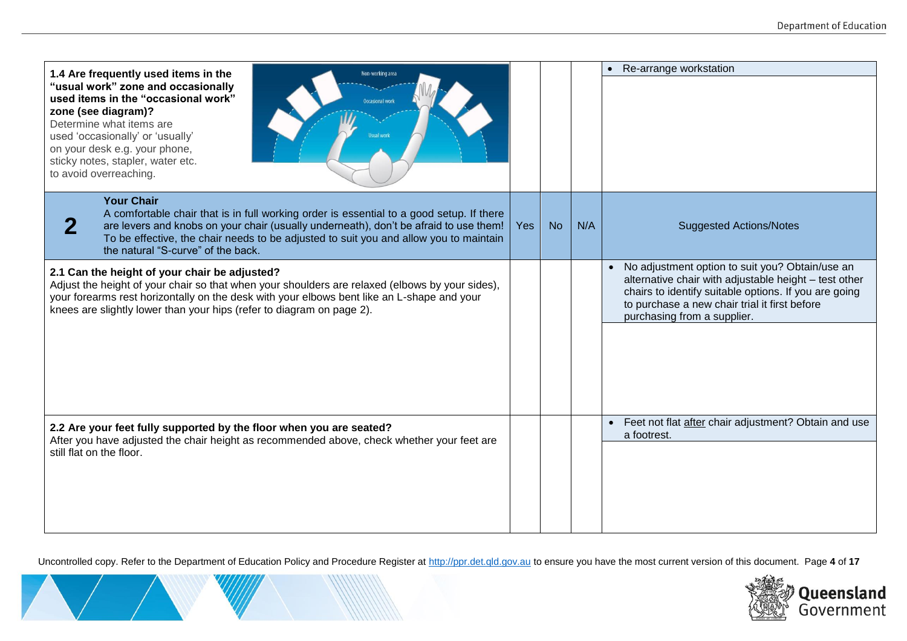| 1.4 Are frequently used items in the<br>Non-working area                                                                                                                                                                                                                                                                                          |            |           |     | Re-arrange workstation                                                                                                                                                                                                                              |
|---------------------------------------------------------------------------------------------------------------------------------------------------------------------------------------------------------------------------------------------------------------------------------------------------------------------------------------------------|------------|-----------|-----|-----------------------------------------------------------------------------------------------------------------------------------------------------------------------------------------------------------------------------------------------------|
| "usual work" zone and occasionally<br>used items in the "occasional work"<br><b>Occasional work</b><br>zone (see diagram)?<br>Determine what items are<br>used 'occasionally' or 'usually'<br>on your desk e.g. your phone,<br>sticky notes, stapler, water etc.<br>to avoid overreaching.                                                        |            |           |     |                                                                                                                                                                                                                                                     |
| <b>Your Chair</b><br>A comfortable chair that is in full working order is essential to a good setup. If there<br>$\bf{2}$<br>are levers and knobs on your chair (usually underneath), don't be afraid to use them!<br>To be effective, the chair needs to be adjusted to suit you and allow you to maintain<br>the natural "S-curve" of the back. | <b>Yes</b> | <b>No</b> | N/A | <b>Suggested Actions/Notes</b>                                                                                                                                                                                                                      |
| 2.1 Can the height of your chair be adjusted?<br>Adjust the height of your chair so that when your shoulders are relaxed (elbows by your sides),<br>your forearms rest horizontally on the desk with your elbows bent like an L-shape and your<br>knees are slightly lower than your hips (refer to diagram on page 2).                           |            |           |     | • No adjustment option to suit you? Obtain/use an<br>alternative chair with adjustable height - test other<br>chairs to identify suitable options. If you are going<br>to purchase a new chair trial it first before<br>purchasing from a supplier. |
| 2.2 Are your feet fully supported by the floor when you are seated?                                                                                                                                                                                                                                                                               |            |           |     | • Feet not flat after chair adjustment? Obtain and use<br>a footrest.                                                                                                                                                                               |
| After you have adjusted the chair height as recommended above, check whether your feet are<br>still flat on the floor.                                                                                                                                                                                                                            |            |           |     |                                                                                                                                                                                                                                                     |

Uncontrolled copy. Refer to the Department of Education Policy and Procedure Register at [http://ppr.det.qld.gov.au](http://ppr.det.qld.gov.au/) to ensure you have the most current version of this document. Page **4** of **17**

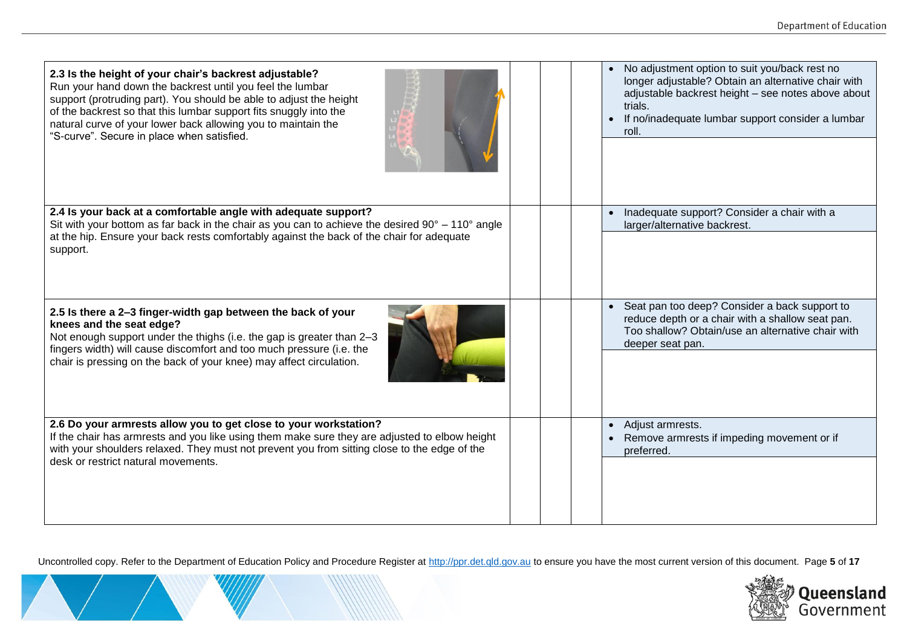| 2.3 Is the height of your chair's backrest adjustable?<br>Run your hand down the backrest until you feel the lumbar<br>support (protruding part). You should be able to adjust the height<br>of the backrest so that this lumbar support fits snuggly into the<br>natural curve of your lower back allowing you to maintain the<br>"S-curve". Secure in place when satisfied. |  | No adjustment option to suit you/back rest no<br>$\bullet$<br>longer adjustable? Obtain an alternative chair with<br>adjustable backrest height - see notes above about<br>trials.<br>If no/inadequate lumbar support consider a lumbar<br>$\bullet$<br>roll. |
|-------------------------------------------------------------------------------------------------------------------------------------------------------------------------------------------------------------------------------------------------------------------------------------------------------------------------------------------------------------------------------|--|---------------------------------------------------------------------------------------------------------------------------------------------------------------------------------------------------------------------------------------------------------------|
| 2.4 Is your back at a comfortable angle with adequate support?<br>Sit with your bottom as far back in the chair as you can to achieve the desired $90^{\circ} - 110^{\circ}$ angle<br>at the hip. Ensure your back rests comfortably against the back of the chair for adequate<br>support.                                                                                   |  | Inadequate support? Consider a chair with a<br>$\bullet$<br>larger/alternative backrest.                                                                                                                                                                      |
| 2.5 Is there a 2-3 finger-width gap between the back of your<br>knees and the seat edge?<br>Not enough support under the thighs (i.e. the gap is greater than 2-3<br>fingers width) will cause discomfort and too much pressure (i.e. the<br>chair is pressing on the back of your knee) may affect circulation.                                                              |  | Seat pan too deep? Consider a back support to<br>reduce depth or a chair with a shallow seat pan.<br>Too shallow? Obtain/use an alternative chair with<br>deeper seat pan.                                                                                    |
| 2.6 Do your armrests allow you to get close to your workstation?<br>If the chair has armrests and you like using them make sure they are adjusted to elbow height<br>with your shoulders relaxed. They must not prevent you from sitting close to the edge of the<br>desk or restrict natural movements.                                                                      |  | Adjust armrests.<br>$\bullet$<br>Remove armrests if impeding movement or if<br>preferred.                                                                                                                                                                     |

Uncontrolled copy. Refer to the Department of Education Policy and Procedure Register at [http://ppr.det.qld.gov.au](http://ppr.det.qld.gov.au/) to ensure you have the most current version of this document. Page **5** of **17**

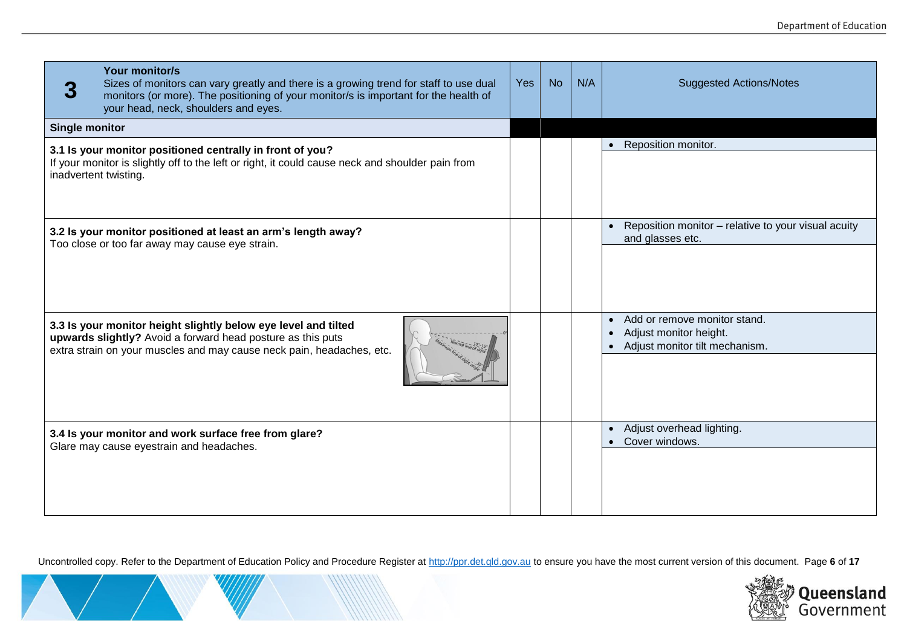| <b>Your monitor/s</b><br>Sizes of monitors can vary greatly and there is a growing trend for staff to use dual<br>monitors (or more). The positioning of your monitor/s is important for the health of<br>your head, neck, shoulders and eyes. | <b>Yes</b> | <b>No</b> | N/A | <b>Suggested Actions/Notes</b>                                                                                     |
|------------------------------------------------------------------------------------------------------------------------------------------------------------------------------------------------------------------------------------------------|------------|-----------|-----|--------------------------------------------------------------------------------------------------------------------|
| <b>Single monitor</b>                                                                                                                                                                                                                          |            |           |     |                                                                                                                    |
| 3.1 Is your monitor positioned centrally in front of you?<br>If your monitor is slightly off to the left or right, it could cause neck and shoulder pain from<br>inadvertent twisting.                                                         |            |           |     | Reposition monitor.<br>$\bullet$                                                                                   |
| 3.2 Is your monitor positioned at least an arm's length away?<br>Too close or too far away may cause eye strain.                                                                                                                               |            |           |     | Reposition monitor - relative to your visual acuity<br>$\bullet$<br>and glasses etc.                               |
| 3.3 Is your monitor height slightly below eye level and tilted<br>upwards slightly? Avoid a forward head posture as this puts<br>extra strain on your muscles and may cause neck pain, headaches, etc.                                         |            |           |     | Add or remove monitor stand.<br>$\bullet$<br>Adjust monitor height.<br>$\bullet$<br>Adjust monitor tilt mechanism. |
| 3.4 Is your monitor and work surface free from glare?<br>Glare may cause eyestrain and headaches.                                                                                                                                              |            |           |     | Adjust overhead lighting.<br>$\bullet$<br>Cover windows.                                                           |

Uncontrolled copy. Refer to the Department of Education Policy and Procedure Register at [http://ppr.det.qld.gov.au](http://ppr.det.qld.gov.au/) to ensure you have the most current version of this document. Page **6** of **17**

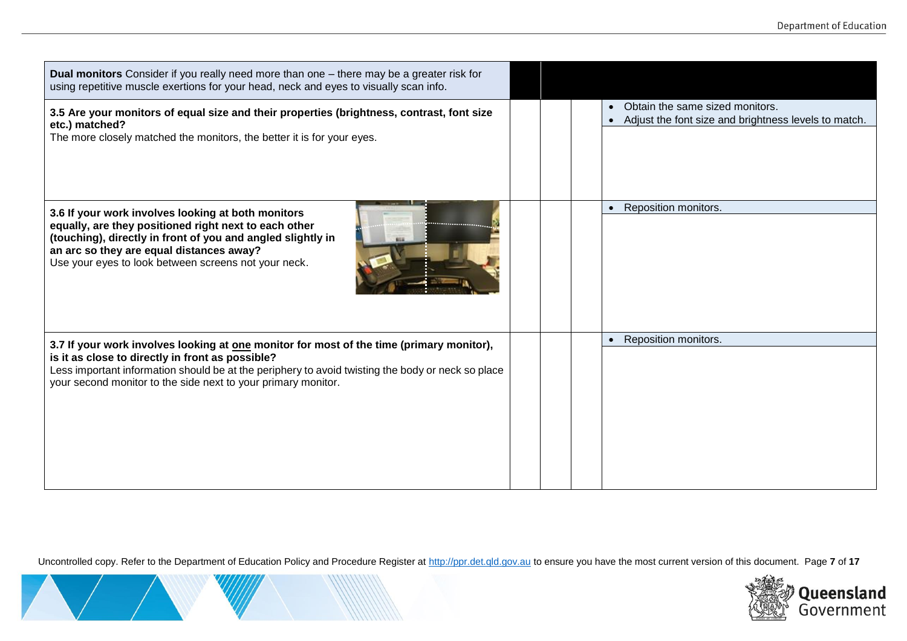| Dual monitors Consider if you really need more than one - there may be a greater risk for<br>using repetitive muscle exertions for your head, neck and eyes to visually scan info.                                                                                                                                 |  |                                                                                         |
|--------------------------------------------------------------------------------------------------------------------------------------------------------------------------------------------------------------------------------------------------------------------------------------------------------------------|--|-----------------------------------------------------------------------------------------|
| 3.5 Are your monitors of equal size and their properties (brightness, contrast, font size<br>etc.) matched?<br>The more closely matched the monitors, the better it is for your eyes.                                                                                                                              |  | Obtain the same sized monitors.<br>Adjust the font size and brightness levels to match. |
| 3.6 If your work involves looking at both monitors<br>equally, are they positioned right next to each other<br>(touching), directly in front of you and angled slightly in<br>an arc so they are equal distances away?<br>Use your eyes to look between screens not your neck.                                     |  | Reposition monitors.                                                                    |
| 3.7 If your work involves looking at one monitor for most of the time (primary monitor),<br>is it as close to directly in front as possible?<br>Less important information should be at the periphery to avoid twisting the body or neck so place<br>your second monitor to the side next to your primary monitor. |  | Reposition monitors.                                                                    |

Uncontrolled copy. Refer to the Department of Education Policy and Procedure Register at [http://ppr.det.qld.gov.au](http://ppr.det.qld.gov.au/) to ensure you have the most current version of this document. Page **7** of **17**

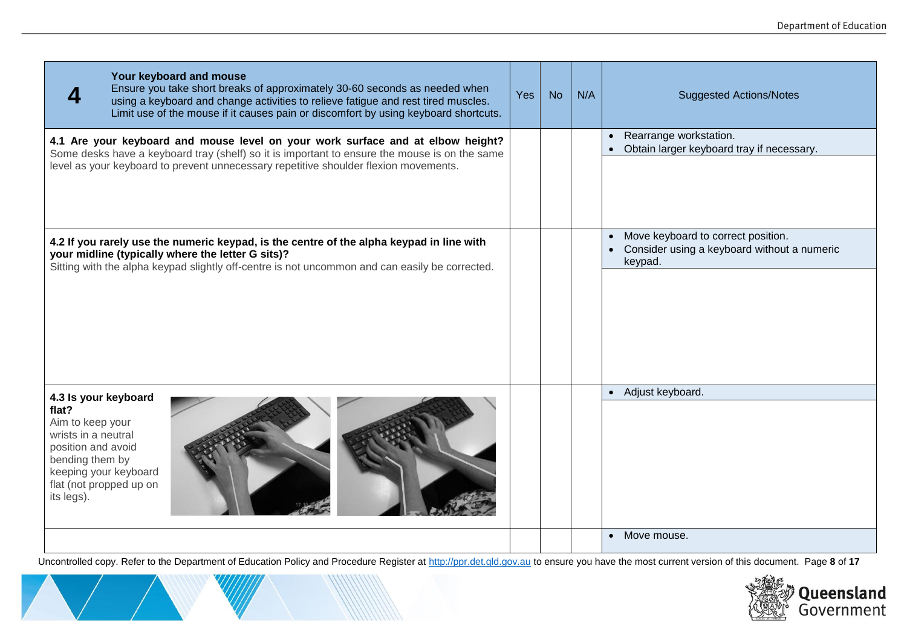|                                                                                                                                                                                     | Your keyboard and mouse<br>Ensure you take short breaks of approximately 30-60 seconds as needed when<br>using a keyboard and change activities to relieve fatigue and rest tired muscles.<br>Limit use of the mouse if it causes pain or discomfort by using keyboard shortcuts. | Yes | <b>No</b> | N/A | <b>Suggested Actions/Notes</b>                                                                            |
|-------------------------------------------------------------------------------------------------------------------------------------------------------------------------------------|-----------------------------------------------------------------------------------------------------------------------------------------------------------------------------------------------------------------------------------------------------------------------------------|-----|-----------|-----|-----------------------------------------------------------------------------------------------------------|
|                                                                                                                                                                                     | 4.1 Are your keyboard and mouse level on your work surface and at elbow height?<br>Some desks have a keyboard tray (shelf) so it is important to ensure the mouse is on the same<br>level as your keyboard to prevent unnecessary repetitive shoulder flexion movements.          |     |           |     | Rearrange workstation.<br>Obtain larger keyboard tray if necessary.                                       |
|                                                                                                                                                                                     | 4.2 If you rarely use the numeric keypad, is the centre of the alpha keypad in line with<br>your midline (typically where the letter G sits)?<br>Sitting with the alpha keypad slightly off-centre is not uncommon and can easily be corrected.                                   |     |           |     | Move keyboard to correct position.<br>$\bullet$<br>Consider using a keyboard without a numeric<br>keypad. |
| 4.3 Is your keyboard<br>flat?<br>Aim to keep your<br>wrists in a neutral<br>position and avoid<br>bending them by<br>keeping your keyboard<br>flat (not propped up on<br>its legs). |                                                                                                                                                                                                                                                                                   |     |           |     | • Adjust keyboard.<br>• Move mouse.                                                                       |
|                                                                                                                                                                                     |                                                                                                                                                                                                                                                                                   |     |           |     |                                                                                                           |

Uncontrolled copy. Refer to the Department of Education Policy and Procedure Register at [http://ppr.det.qld.gov.au](http://ppr.det.qld.gov.au/) to ensure you have the most current version of this document. Page **8** of **17**

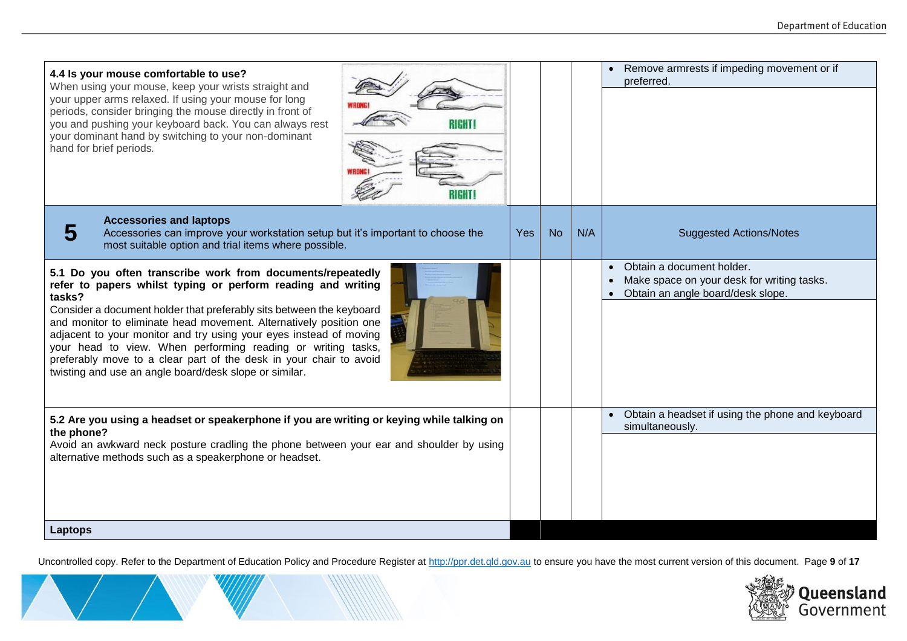| 4.4 Is your mouse comfortable to use?<br>When using your mouse, keep your wrists straight and<br>your upper arms relaxed. If using your mouse for long<br>periods, consider bringing the mouse directly in front of<br>you and pushing your keyboard back. You can always rest<br>your dominant hand by switching to your non-dominant<br>hand for brief periods.                                                                                                                                                                                        |            |           |     | Remove armrests if impeding movement or if<br>preferred.                                                                  |
|----------------------------------------------------------------------------------------------------------------------------------------------------------------------------------------------------------------------------------------------------------------------------------------------------------------------------------------------------------------------------------------------------------------------------------------------------------------------------------------------------------------------------------------------------------|------------|-----------|-----|---------------------------------------------------------------------------------------------------------------------------|
| <b>Accessories and laptops</b><br>5<br>Accessories can improve your workstation setup but it's important to choose the<br>most suitable option and trial items where possible.                                                                                                                                                                                                                                                                                                                                                                           | <b>Yes</b> | <b>No</b> | N/A | <b>Suggested Actions/Notes</b>                                                                                            |
| 5.1 Do you often transcribe work from documents/repeatedly<br>refer to papers whilst typing or perform reading and writing<br>tasks?<br>Consider a document holder that preferably sits between the keyboard<br>and monitor to eliminate head movement. Alternatively position one<br>adjacent to your monitor and try using your eyes instead of moving<br>your head to view. When performing reading or writing tasks,<br>preferably move to a clear part of the desk in your chair to avoid<br>twisting and use an angle board/desk slope or similar. |            |           |     | Obtain a document holder.<br>Make space on your desk for writing tasks.<br>$\bullet$<br>Obtain an angle board/desk slope. |
| 5.2 Are you using a headset or speakerphone if you are writing or keying while talking on<br>the phone?<br>Avoid an awkward neck posture cradling the phone between your ear and shoulder by using<br>alternative methods such as a speakerphone or headset.                                                                                                                                                                                                                                                                                             |            |           |     | • Obtain a headset if using the phone and keyboard<br>simultaneously.                                                     |
| <b>Laptops</b>                                                                                                                                                                                                                                                                                                                                                                                                                                                                                                                                           |            |           |     |                                                                                                                           |

Uncontrolled copy. Refer to the Department of Education Policy and Procedure Register at [http://ppr.det.qld.gov.au](http://ppr.det.qld.gov.au/) to ensure you have the most current version of this document. Page **9** of **17**

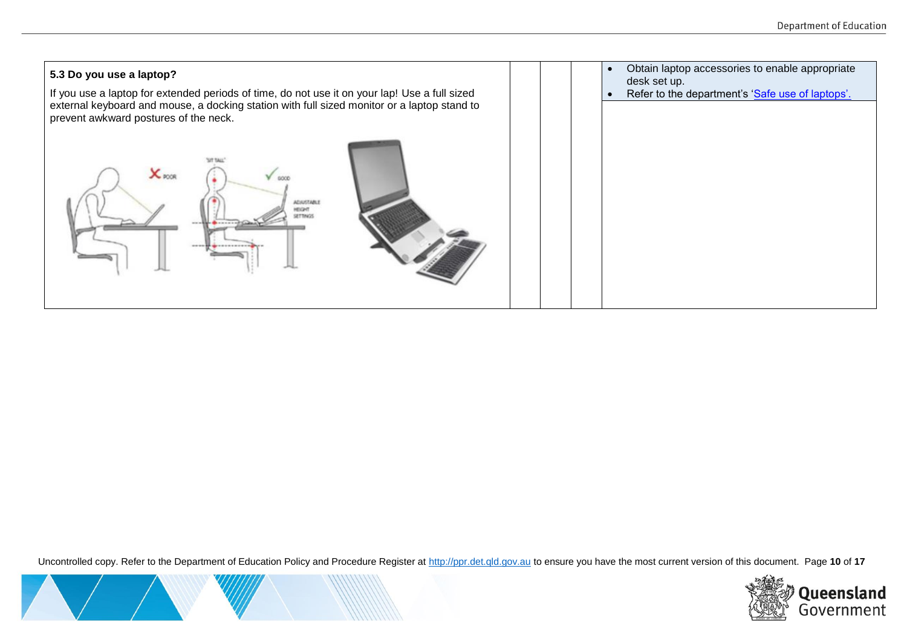

Uncontrolled copy. Refer to the Department of Education Policy and Procedure Register at [http://ppr.det.qld.gov.au](http://ppr.det.qld.gov.au/) to ensure you have the most current version of this document. Page **10** of **17**



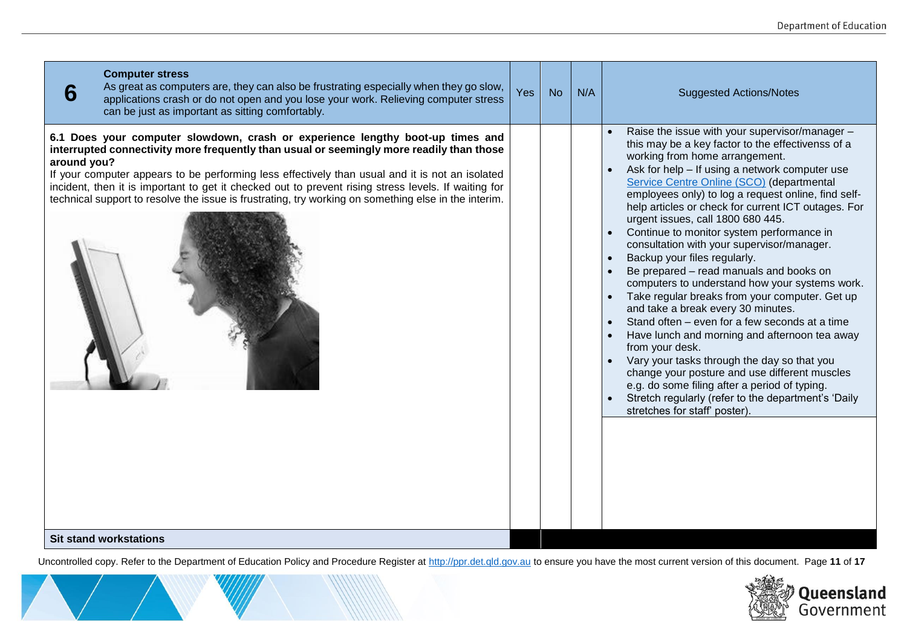| <b>Computer stress</b><br>As great as computers are, they can also be frustrating especially when they go slow,<br>6<br>applications crash or do not open and you lose your work. Relieving computer stress<br>can be just as important as sitting comfortably.                                                                                                                                                                                                                                              | Yes | <b>No</b> | N/A | <b>Suggested Actions/Notes</b>                                                                                                                                                                                                                                                                                                                                                                                                                                                                                                                                                                                                                                                                                                                                                                                                                                                                                                                                                                                                                                         |
|--------------------------------------------------------------------------------------------------------------------------------------------------------------------------------------------------------------------------------------------------------------------------------------------------------------------------------------------------------------------------------------------------------------------------------------------------------------------------------------------------------------|-----|-----------|-----|------------------------------------------------------------------------------------------------------------------------------------------------------------------------------------------------------------------------------------------------------------------------------------------------------------------------------------------------------------------------------------------------------------------------------------------------------------------------------------------------------------------------------------------------------------------------------------------------------------------------------------------------------------------------------------------------------------------------------------------------------------------------------------------------------------------------------------------------------------------------------------------------------------------------------------------------------------------------------------------------------------------------------------------------------------------------|
| 6.1 Does your computer slowdown, crash or experience lengthy boot-up times and<br>interrupted connectivity more frequently than usual or seemingly more readily than those<br>around you?<br>If your computer appears to be performing less effectively than usual and it is not an isolated<br>incident, then it is important to get it checked out to prevent rising stress levels. If waiting for<br>technical support to resolve the issue is frustrating, try working on something else in the interim. |     |           |     | Raise the issue with your supervisor/manager -<br>this may be a key factor to the effectivenss of a<br>working from home arrangement.<br>Ask for help - If using a network computer use<br>Service Centre Online (SCO) (departmental<br>employees only) to log a request online, find self-<br>help articles or check for current ICT outages. For<br>urgent issues, call 1800 680 445.<br>Continue to monitor system performance in<br>consultation with your supervisor/manager.<br>Backup your files regularly.<br>Be prepared - read manuals and books on<br>computers to understand how your systems work.<br>Take regular breaks from your computer. Get up<br>and take a break every 30 minutes.<br>Stand often - even for a few seconds at a time<br>Have lunch and morning and afternoon tea away<br>from your desk.<br>Vary your tasks through the day so that you<br>change your posture and use different muscles<br>e.g. do some filing after a period of typing.<br>Stretch regularly (refer to the department's 'Daily<br>stretches for staff' poster). |
| <b>Sit stand workstations</b>                                                                                                                                                                                                                                                                                                                                                                                                                                                                                |     |           |     |                                                                                                                                                                                                                                                                                                                                                                                                                                                                                                                                                                                                                                                                                                                                                                                                                                                                                                                                                                                                                                                                        |

Uncontrolled copy. Refer to the Department of Education Policy and Procedure Register at [http://ppr.det.qld.gov.au](http://ppr.det.qld.gov.au/) to ensure you have the most current version of this document. Page **11** of **17**

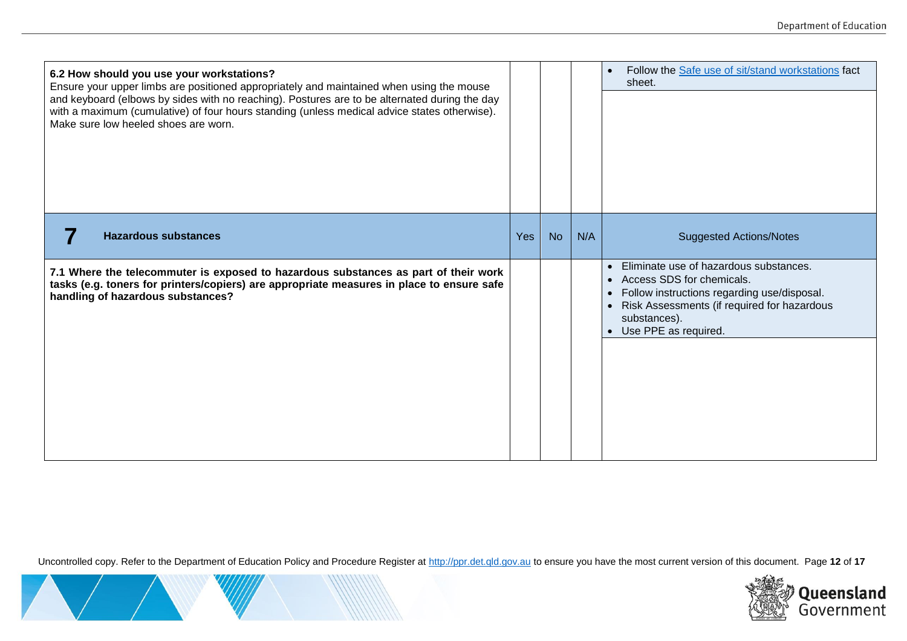| 6.2 How should you use your workstations?<br>Ensure your upper limbs are positioned appropriately and maintained when using the mouse<br>and keyboard (elbows by sides with no reaching). Postures are to be alternated during the day<br>with a maximum (cumulative) of four hours standing (unless medical advice states otherwise).<br>Make sure low heeled shoes are worn. |     |           |     | Follow the Safe use of sit/stand workstations fact<br>$\bullet$<br>sheet.                                                                                                                                                             |
|--------------------------------------------------------------------------------------------------------------------------------------------------------------------------------------------------------------------------------------------------------------------------------------------------------------------------------------------------------------------------------|-----|-----------|-----|---------------------------------------------------------------------------------------------------------------------------------------------------------------------------------------------------------------------------------------|
| <b>Hazardous substances</b>                                                                                                                                                                                                                                                                                                                                                    | Yes | <b>No</b> | N/A | <b>Suggested Actions/Notes</b>                                                                                                                                                                                                        |
| 7.1 Where the telecommuter is exposed to hazardous substances as part of their work<br>tasks (e.g. toners for printers/copiers) are appropriate measures in place to ensure safe<br>handling of hazardous substances?                                                                                                                                                          |     |           |     | Eliminate use of hazardous substances.<br>$\bullet$<br>• Access SDS for chemicals.<br>Follow instructions regarding use/disposal.<br>$\bullet$<br>Risk Assessments (if required for hazardous<br>substances).<br>Use PPE as required. |

Uncontrolled copy. Refer to the Department of Education Policy and Procedure Register at [http://ppr.det.qld.gov.au](http://ppr.det.qld.gov.au/) to ensure you have the most current version of this document. Page **12** of **17**

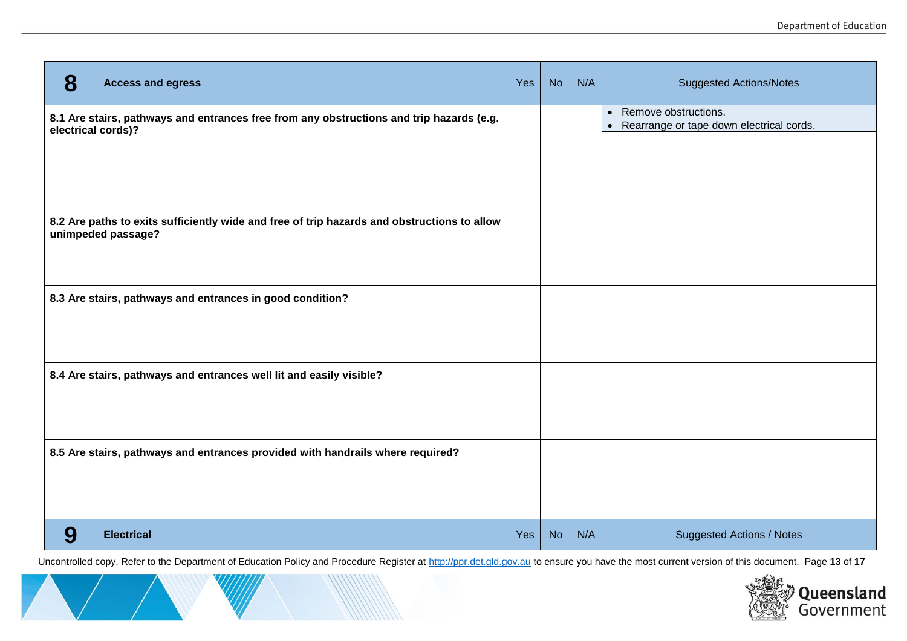| 8<br><b>Access and egress</b>                                                                                     | <b>Yes</b> | <b>No</b> | N/A | <b>Suggested Actions/Notes</b>                                                             |
|-------------------------------------------------------------------------------------------------------------------|------------|-----------|-----|--------------------------------------------------------------------------------------------|
| 8.1 Are stairs, pathways and entrances free from any obstructions and trip hazards (e.g.<br>electrical cords)?    |            |           |     | Remove obstructions.<br>$\bullet$<br>Rearrange or tape down electrical cords.<br>$\bullet$ |
|                                                                                                                   |            |           |     |                                                                                            |
|                                                                                                                   |            |           |     |                                                                                            |
| 8.2 Are paths to exits sufficiently wide and free of trip hazards and obstructions to allow<br>unimpeded passage? |            |           |     |                                                                                            |
|                                                                                                                   |            |           |     |                                                                                            |
| 8.3 Are stairs, pathways and entrances in good condition?                                                         |            |           |     |                                                                                            |
|                                                                                                                   |            |           |     |                                                                                            |
| 8.4 Are stairs, pathways and entrances well lit and easily visible?                                               |            |           |     |                                                                                            |
|                                                                                                                   |            |           |     |                                                                                            |
| 8.5 Are stairs, pathways and entrances provided with handrails where required?                                    |            |           |     |                                                                                            |
|                                                                                                                   |            |           |     |                                                                                            |
| 9<br><b>Electrical</b>                                                                                            | <b>Yes</b> | <b>No</b> | N/A | <b>Suggested Actions / Notes</b>                                                           |

Uncontrolled copy. Refer to the Department of Education Policy and Procedure Register at [http://ppr.det.qld.gov.au](http://ppr.det.qld.gov.au/) to ensure you have the most current version of this document. Page **13** of **17**

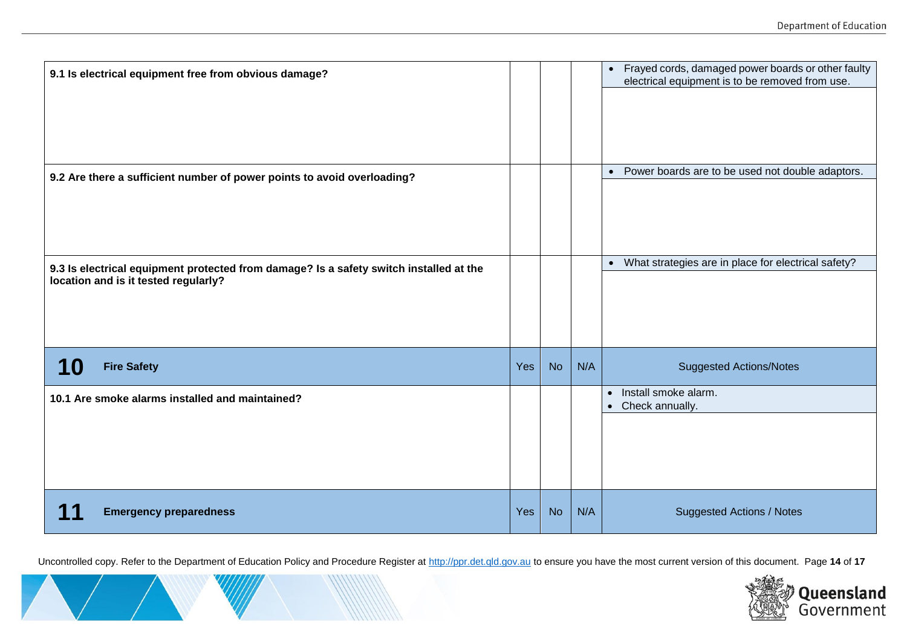| 9.1 Is electrical equipment free from obvious damage?                                                                          |     |           |     | • Frayed cords, damaged power boards or other faulty<br>electrical equipment is to be removed from use. |
|--------------------------------------------------------------------------------------------------------------------------------|-----|-----------|-----|---------------------------------------------------------------------------------------------------------|
| 9.2 Are there a sufficient number of power points to avoid overloading?                                                        |     |           |     | • Power boards are to be used not double adaptors.                                                      |
| 9.3 Is electrical equipment protected from damage? Is a safety switch installed at the<br>location and is it tested regularly? |     |           |     | • What strategies are in place for electrical safety?                                                   |
| <b>10</b><br><b>Fire Safety</b>                                                                                                | Yes | <b>No</b> | N/A | <b>Suggested Actions/Notes</b>                                                                          |
| 10.1 Are smoke alarms installed and maintained?                                                                                |     |           |     | Install smoke alarm.<br>$\bullet$<br>Check annually.<br>$\bullet$                                       |
| <b>Emergency preparedness</b>                                                                                                  | Yes | <b>No</b> | N/A | <b>Suggested Actions / Notes</b>                                                                        |

Uncontrolled copy. Refer to the Department of Education Policy and Procedure Register at [http://ppr.det.qld.gov.au](http://ppr.det.qld.gov.au/) to ensure you have the most current version of this document. Page **14** of **17**

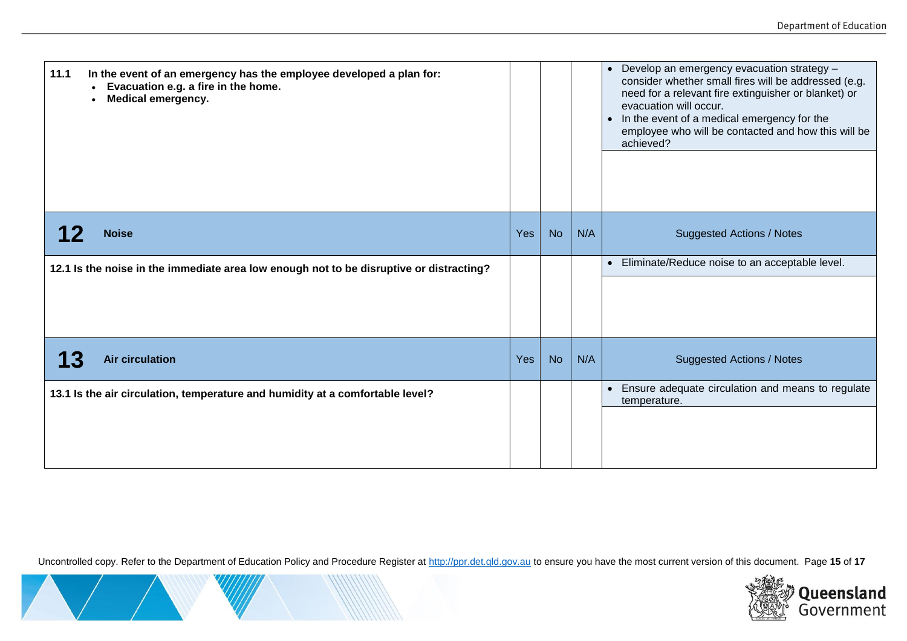| 11.1                                                                                    | In the event of an emergency has the employee developed a plan for:<br>Evacuation e.g. a fire in the home.<br><b>Medical emergency.</b> |     |           |     | Develop an emergency evacuation strategy -<br>$\bullet$<br>consider whether small fires will be addressed (e.g.<br>need for a relevant fire extinguisher or blanket) or<br>evacuation will occur.<br>In the event of a medical emergency for the<br>$\bullet$<br>employee who will be contacted and how this will be<br>achieved? |
|-----------------------------------------------------------------------------------------|-----------------------------------------------------------------------------------------------------------------------------------------|-----|-----------|-----|-----------------------------------------------------------------------------------------------------------------------------------------------------------------------------------------------------------------------------------------------------------------------------------------------------------------------------------|
|                                                                                         | <b>Noise</b>                                                                                                                            | Yes | <b>No</b> | N/A | <b>Suggested Actions / Notes</b>                                                                                                                                                                                                                                                                                                  |
| 12.1 Is the noise in the immediate area low enough not to be disruptive or distracting? |                                                                                                                                         |     |           |     | Eliminate/Reduce noise to an acceptable level.<br>$\bullet$                                                                                                                                                                                                                                                                       |
|                                                                                         |                                                                                                                                         |     |           |     |                                                                                                                                                                                                                                                                                                                                   |
| 13                                                                                      | <b>Air circulation</b>                                                                                                                  | Yes | <b>No</b> | N/A | <b>Suggested Actions / Notes</b>                                                                                                                                                                                                                                                                                                  |
| 13.1 Is the air circulation, temperature and humidity at a comfortable level?           |                                                                                                                                         |     |           |     | Ensure adequate circulation and means to regulate<br>$\bullet$<br>temperature.                                                                                                                                                                                                                                                    |
|                                                                                         |                                                                                                                                         |     |           |     |                                                                                                                                                                                                                                                                                                                                   |

Uncontrolled copy. Refer to the Department of Education Policy and Procedure Register at [http://ppr.det.qld.gov.au](http://ppr.det.qld.gov.au/) to ensure you have the most current version of this document. Page **15** of **17**

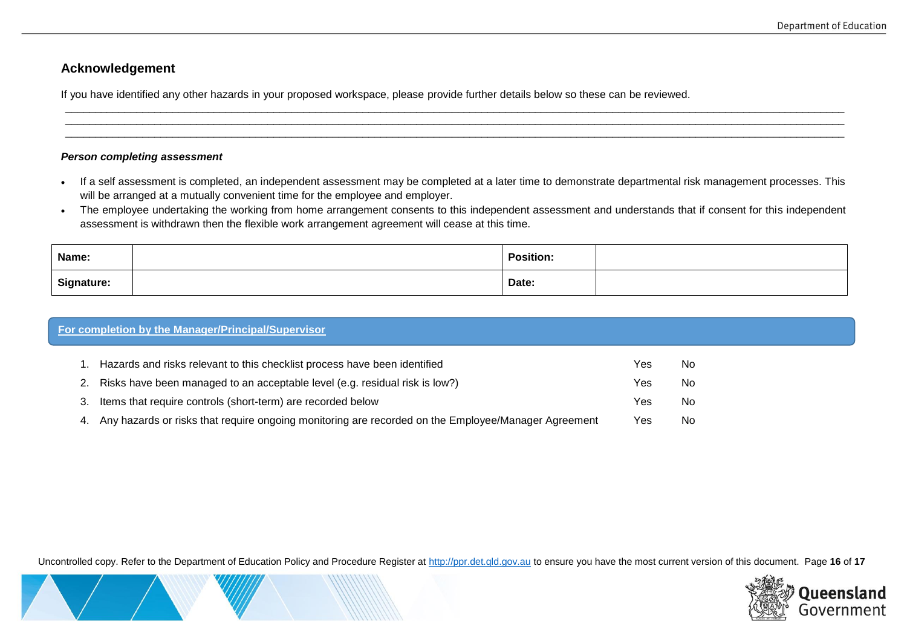## **Acknowledgement**

If you have identified any other hazards in your proposed workspace, please provide further details below so these can be reviewed.

#### *Person completing assessment*

• If a self assessment is completed, an independent assessment may be completed at a later time to demonstrate departmental risk management processes. This will be arranged at a mutually convenient time for the employee and employer.

\_\_\_\_\_\_\_\_\_\_\_\_\_\_\_\_\_\_\_\_\_\_\_\_\_\_\_\_\_\_\_\_\_\_\_\_\_\_\_\_\_\_\_\_\_\_\_\_\_\_\_\_\_\_\_\_\_\_\_\_\_\_\_\_\_\_\_\_\_\_\_\_\_\_\_\_\_\_\_\_\_\_\_\_\_\_\_\_\_\_\_\_\_\_\_\_\_\_\_\_\_\_\_\_\_\_\_\_\_\_\_\_\_\_\_\_\_\_\_\_\_\_\_\_\_\_\_\_\_\_\_ \_\_\_\_\_\_\_\_\_\_\_\_\_\_\_\_\_\_\_\_\_\_\_\_\_\_\_\_\_\_\_\_\_\_\_\_\_\_\_\_\_\_\_\_\_\_\_\_\_\_\_\_\_\_\_\_\_\_\_\_\_\_\_\_\_\_\_\_\_\_\_\_\_\_\_\_\_\_\_\_\_\_\_\_\_\_\_\_\_\_\_\_\_\_\_\_\_\_\_\_\_\_\_\_\_\_\_\_\_\_\_\_\_\_\_\_\_\_\_\_\_\_\_\_\_\_\_\_\_\_\_ \_\_\_\_\_\_\_\_\_\_\_\_\_\_\_\_\_\_\_\_\_\_\_\_\_\_\_\_\_\_\_\_\_\_\_\_\_\_\_\_\_\_\_\_\_\_\_\_\_\_\_\_\_\_\_\_\_\_\_\_\_\_\_\_\_\_\_\_\_\_\_\_\_\_\_\_\_\_\_\_\_\_\_\_\_\_\_\_\_\_\_\_\_\_\_\_\_\_\_\_\_\_\_\_\_\_\_\_\_\_\_\_\_\_\_\_\_\_\_\_\_\_\_\_\_\_\_\_\_\_\_

. The employee undertaking the working from home arrangement consents to this independent assessment and understands that if consent for this independent assessment is withdrawn then the flexible work arrangement agreement will cease at this time.

| Name:             | <b>Position:</b> |  |
|-------------------|------------------|--|
| <b>Signature:</b> | Date:            |  |

| For completion by the Manager/Principal/Supervisor                                                        |     |    |  |  |  |
|-----------------------------------------------------------------------------------------------------------|-----|----|--|--|--|
| 1. Hazards and risks relevant to this checklist process have been identified                              | Yes | No |  |  |  |
| 2. Risks have been managed to an acceptable level (e.g. residual risk is low?)                            | Yes | No |  |  |  |
| 3. Items that require controls (short-term) are recorded below                                            | Yes | No |  |  |  |
| Any hazards or risks that require ongoing monitoring are recorded on the Employee/Manager Agreement<br>4. | Yes | No |  |  |  |

Uncontrolled copy. Refer to the Department of Education Policy and Procedure Register at [http://ppr.det.qld.gov.au](http://ppr.det.qld.gov.au/) to ensure you have the most current version of this document. Page **16** of **17**